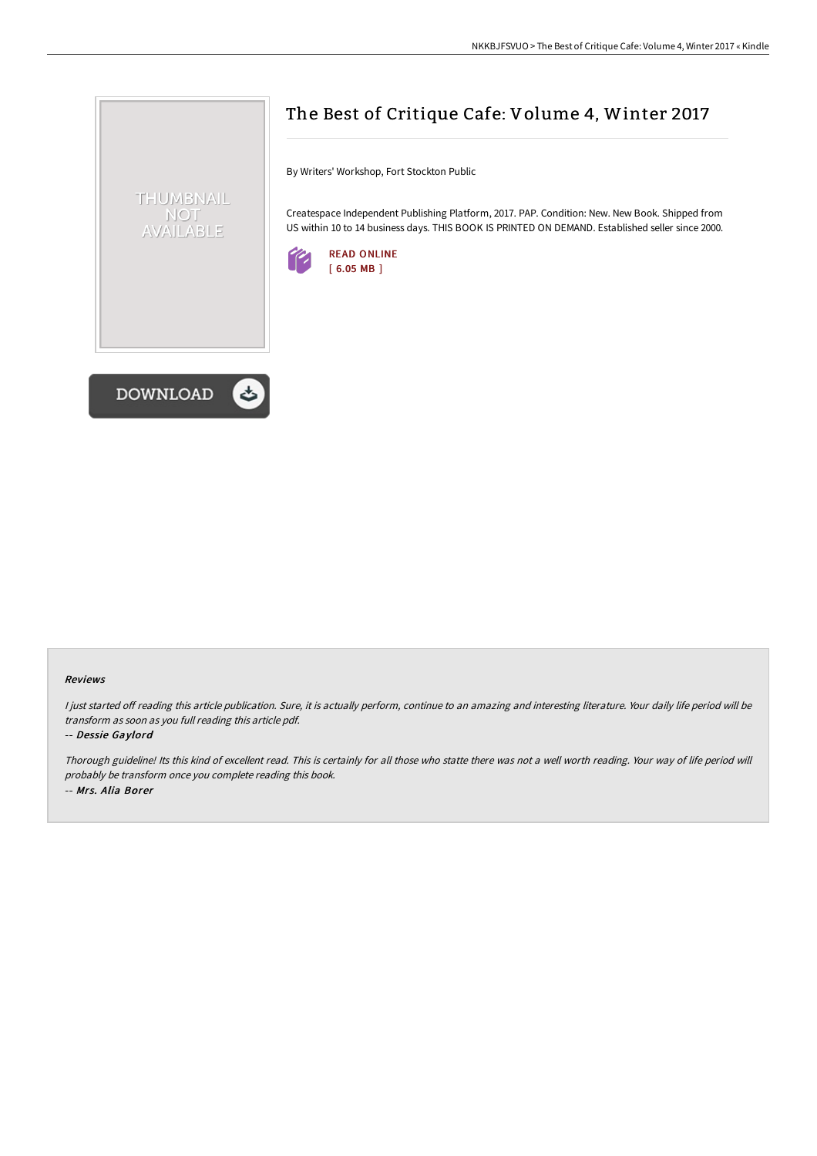

# The Best of Critique Cafe: Volume 4, Winter 2017

By Writers' Workshop, Fort Stockton Public

Createspace Independent Publishing Platform, 2017. PAP. Condition: New. New Book. Shipped from US within 10 to 14 business days. THIS BOOK IS PRINTED ON DEMAND. Established seller since 2000.



#### Reviews

I just started off reading this article publication. Sure, it is actually perform, continue to an amazing and interesting literature. Your daily life period will be transform as soon as you full reading this article pdf.

#### -- Dessie Gaylord

Thorough guideline! Its this kind of excellent read. This is certainly for all those who statte there was not <sup>a</sup> well worth reading. Your way of life period will probably be transform once you complete reading this book. -- Mrs. Alia Borer